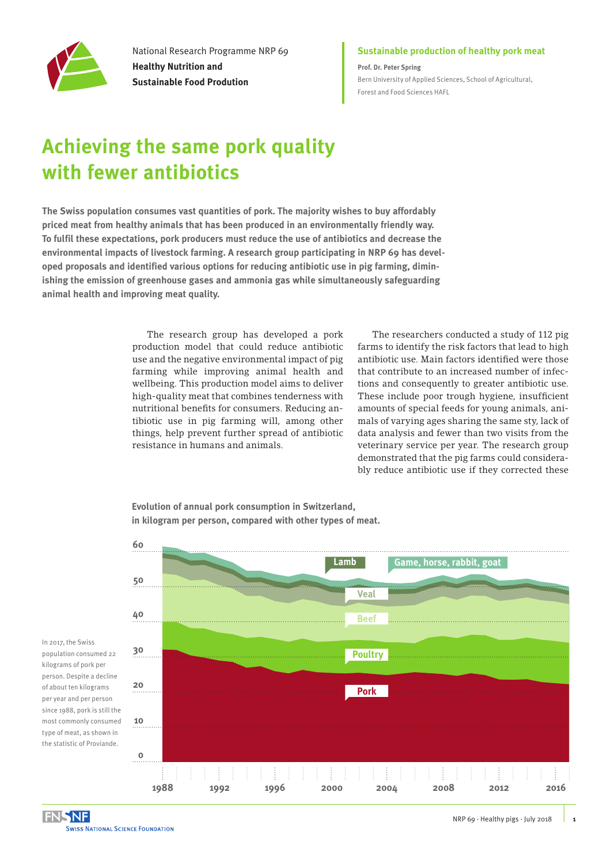

National Research Programme NRP 69 **Healthy Nutrition and Sustainable Food Prodution**

### **Sustainable production of healthy pork meat**

**Prof. Dr. Peter Spring** [Bern University of Applied Sciences, School of Agricultural,](https://www.hafl.bfh.ch/en/home.html)  [Forest and Food Sciences HAFL](https://www.hafl.bfh.ch/en/home.html)

# **Achieving the same pork quality with fewer antibiotics**

**The Swiss population consumes vast quantities of pork. The majority wishes to buy affordably priced meat from healthy animals that has been produced in an environmentally friendly way. To fulfil these expectations, pork producers must reduce the use of antibiotics and decrease the environmental impacts of livestock farming. A research group participating in NRP 69 has developed proposals and identified various options for reducing antibiotic use in pig farming, diminishing the emission of greenhouse gases and ammonia gas while simultaneously safeguarding animal health and improving meat quality.** 

> The research group has developed a pork production model that could reduce antibiotic use and the negative environmental impact of pig farming while improving animal health and wellbeing. This production model aims to deliver high-quality meat that combines tenderness with nutritional benefits for consumers. Reducing antibiotic use in pig farming will, among other things, help prevent further spread of antibiotic resistance in humans and animals.

The researchers conducted a study of 112 pig farms to identify the risk factors that lead to high antibiotic use. Main factors identified were those that contribute to an increased number of infections and consequently to greater antibiotic use. These include poor trough hygiene, insufficient amounts of special feeds for young animals, animals of varying ages sharing the same sty, lack of data analysis and fewer than two visits from the veterinary service per year. The research group demonstrated that the pig farms could considerably reduce antibiotic use if they corrected these

**Evolution of annual pork consumption in Switzerland, in kilogram per person, compared with other types of meat.**



In 2017, the Swiss population consumed 22 kilograms of pork per person. Despite a decline of about ten kilograms per year and per person since 1988, pork is still the most commonly consumed type of meat, as shown in the statistic of Proviande.